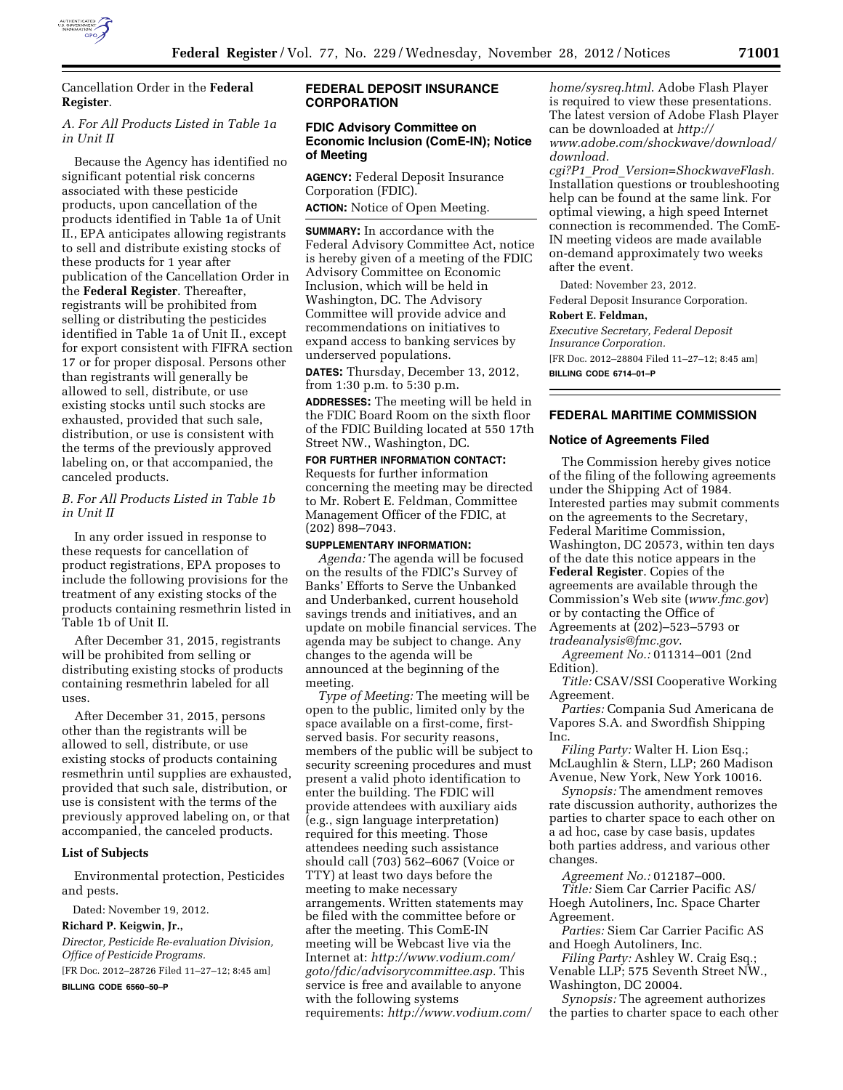

Cancellation Order in the **Federal Register**.

# *A. For All Products Listed in Table 1a in Unit II*

Because the Agency has identified no significant potential risk concerns associated with these pesticide products, upon cancellation of the products identified in Table 1a of Unit II., EPA anticipates allowing registrants to sell and distribute existing stocks of these products for 1 year after publication of the Cancellation Order in the **Federal Register**. Thereafter, registrants will be prohibited from selling or distributing the pesticides identified in Table 1a of Unit II., except for export consistent with FIFRA section 17 or for proper disposal. Persons other than registrants will generally be allowed to sell, distribute, or use existing stocks until such stocks are exhausted, provided that such sale, distribution, or use is consistent with the terms of the previously approved labeling on, or that accompanied, the canceled products.

*B. For All Products Listed in Table 1b in Unit II* 

In any order issued in response to these requests for cancellation of product registrations, EPA proposes to include the following provisions for the treatment of any existing stocks of the products containing resmethrin listed in Table 1b of Unit II.

After December 31, 2015, registrants will be prohibited from selling or distributing existing stocks of products containing resmethrin labeled for all uses.

After December 31, 2015, persons other than the registrants will be allowed to sell, distribute, or use existing stocks of products containing resmethrin until supplies are exhausted, provided that such sale, distribution, or use is consistent with the terms of the previously approved labeling on, or that accompanied, the canceled products.

### **List of Subjects**

Environmental protection, Pesticides and pests.

Dated: November 19, 2012.

### **Richard P. Keigwin, Jr.,**

*Director, Pesticide Re-evaluation Division, Office of Pesticide Programs.*  [FR Doc. 2012–28726 Filed 11–27–12; 8:45 am] **BILLING CODE 6560–50–P** 

## **FEDERAL DEPOSIT INSURANCE CORPORATION**

## **FDIC Advisory Committee on Economic Inclusion (ComE-IN); Notice of Meeting**

**AGENCY:** Federal Deposit Insurance Corporation (FDIC).

**ACTION:** Notice of Open Meeting.

**SUMMARY:** In accordance with the Federal Advisory Committee Act, notice is hereby given of a meeting of the FDIC Advisory Committee on Economic Inclusion, which will be held in Washington, DC. The Advisory Committee will provide advice and recommendations on initiatives to expand access to banking services by underserved populations.

**DATES:** Thursday, December 13, 2012, from 1:30 p.m. to 5:30 p.m.

**ADDRESSES:** The meeting will be held in the FDIC Board Room on the sixth floor of the FDIC Building located at 550 17th Street NW., Washington, DC.

**FOR FURTHER INFORMATION CONTACT:**  Requests for further information concerning the meeting may be directed to Mr. Robert E. Feldman, Committee Management Officer of the FDIC, at (202) 898–7043.

#### **SUPPLEMENTARY INFORMATION:**

*Agenda:* The agenda will be focused on the results of the FDIC's Survey of Banks' Efforts to Serve the Unbanked and Underbanked, current household savings trends and initiatives, and an update on mobile financial services. The agenda may be subject to change. Any changes to the agenda will be announced at the beginning of the meeting.

*Type of Meeting:* The meeting will be open to the public, limited only by the space available on a first-come, firstserved basis. For security reasons, members of the public will be subject to security screening procedures and must present a valid photo identification to enter the building. The FDIC will provide attendees with auxiliary aids (e.g., sign language interpretation) required for this meeting. Those attendees needing such assistance should call (703) 562–6067 (Voice or TTY) at least two days before the meeting to make necessary arrangements. Written statements may be filed with the committee before or after the meeting. This ComE-IN meeting will be Webcast live via the Internet at: *[http://www.vodium.com/](http://www.vodium.com/goto/fdic/advisorycommittee.asp) [goto/fdic/advisorycommittee.asp.](http://www.vodium.com/goto/fdic/advisorycommittee.asp)* This service is free and available to anyone with the following systems requirements: *[http://www.vodium.com/](http://www.vodium.com/home/sysreq.html)* 

*[home/sysreq.html](http://www.vodium.com/home/sysreq.html)*. Adobe Flash Player is required to view these presentations. The latest version of Adobe Flash Player can be downloaded at *[http://](http://www.adobe.com/shockwave/download/download.cgi?P1_Prod_Version=ShockwaveFlash) [www.adobe.com/shockwave/download/](http://www.adobe.com/shockwave/download/download.cgi?P1_Prod_Version=ShockwaveFlash)  [download.](http://www.adobe.com/shockwave/download/download.cgi?P1_Prod_Version=ShockwaveFlash)*

*cgi?P1*\_*Prod*\_*[Version=ShockwaveFlash.](http://www.adobe.com/shockwave/download/download.cgi?P1_Prod_Version=ShockwaveFlash)*  Installation questions or troubleshooting help can be found at the same link. For optimal viewing, a high speed Internet connection is recommended. The ComE-IN meeting videos are made available on-demand approximately two weeks after the event.

Dated: November 23, 2012.

Federal Deposit Insurance Corporation. **Robert E. Feldman,** 

*Executive Secretary, Federal Deposit Insurance Corporation.* 

[FR Doc. 2012–28804 Filed 11–27–12; 8:45 am] **BILLING CODE 6714–01–P** 

# **FEDERAL MARITIME COMMISSION**

#### **Notice of Agreements Filed**

The Commission hereby gives notice of the filing of the following agreements under the Shipping Act of 1984. Interested parties may submit comments on the agreements to the Secretary, Federal Maritime Commission, Washington, DC 20573, within ten days of the date this notice appears in the **Federal Register**. Copies of the agreements are available through the Commission's Web site (*[www.fmc.gov](http://www.fmc.gov)*) or by contacting the Office of Agreements at (202)–523–5793 or *[tradeanalysis@fmc.gov](mailto:tradeanalysis@fmc.gov)*.

*Agreement No.:* 011314–001 (2nd Edition).

*Title:* CSAV/SSI Cooperative Working Agreement.

*Parties:* Compania Sud Americana de Vapores S.A. and Swordfish Shipping Inc.

*Filing Party:* Walter H. Lion Esq.; McLaughlin & Stern, LLP; 260 Madison Avenue, New York, New York 10016.

*Synopsis:* The amendment removes rate discussion authority, authorizes the parties to charter space to each other on a ad hoc, case by case basis, updates both parties address, and various other changes.

*Agreement No.:* 012187–000. *Title:* Siem Car Carrier Pacific AS/ Hoegh Autoliners, Inc. Space Charter Agreement.

*Parties:* Siem Car Carrier Pacific AS and Hoegh Autoliners, Inc.

*Filing Party:* Ashley W. Craig Esq.; Venable LLP; 575 Seventh Street NW., Washington, DC 20004.

*Synopsis:* The agreement authorizes the parties to charter space to each other